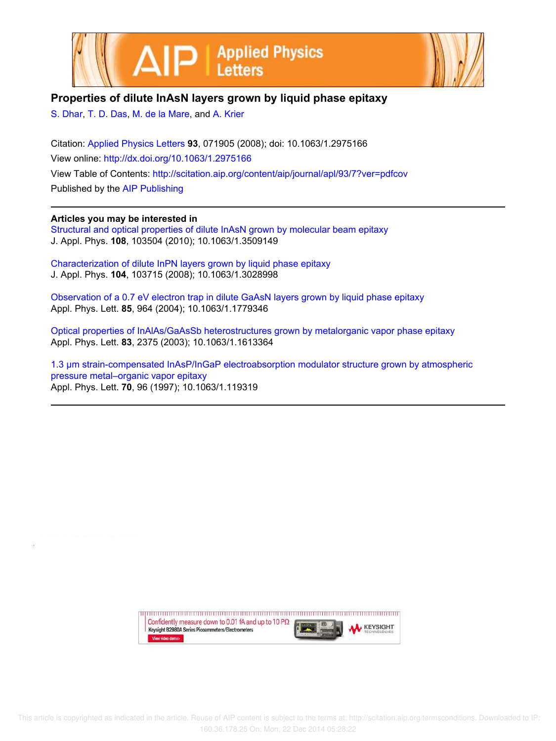



## **Properties of dilute InAsN layers grown by liquid phase epitaxy**

S. Dhar, T. D. Das, M. de la Mare, and A. Krier

Citation: Applied Physics Letters **93**, 071905 (2008); doi: 10.1063/1.2975166 View online: http://dx.doi.org/10.1063/1.2975166 View Table of Contents: http://scitation.aip.org/content/aip/journal/apl/93/7?ver=pdfcov Published by the AIP Publishing

**Articles you may be interested in**

Structural and optical properties of dilute InAsN grown by molecular beam epitaxy J. Appl. Phys. **108**, 103504 (2010); 10.1063/1.3509149

Characterization of dilute InPN layers grown by liquid phase epitaxy J. Appl. Phys. **104**, 103715 (2008); 10.1063/1.3028998

Observation of a 0.7 eV electron trap in dilute GaAsN layers grown by liquid phase epitaxy Appl. Phys. Lett. **85**, 964 (2004); 10.1063/1.1779346

Optical properties of InAlAs/GaAsSb heterostructures grown by metalorganic vapor phase epitaxy Appl. Phys. Lett. **83**, 2375 (2003); 10.1063/1.1613364

1.3 μm strain-compensated InAsP/InGaP electroabsorption modulator structure grown by atmospheric pressure metal–organic vapor epitaxy Appl. Phys. Lett. **70**, 96 (1997); 10.1063/1.119319

> upun manan manan manan manan manan manan manan manan manan manan Confidently measure down to 0.01 fA and up to 10 P $\Omega$ **KEYSIGHT** Keysight B2980A Series Picoammeters/Electrometers View video demo>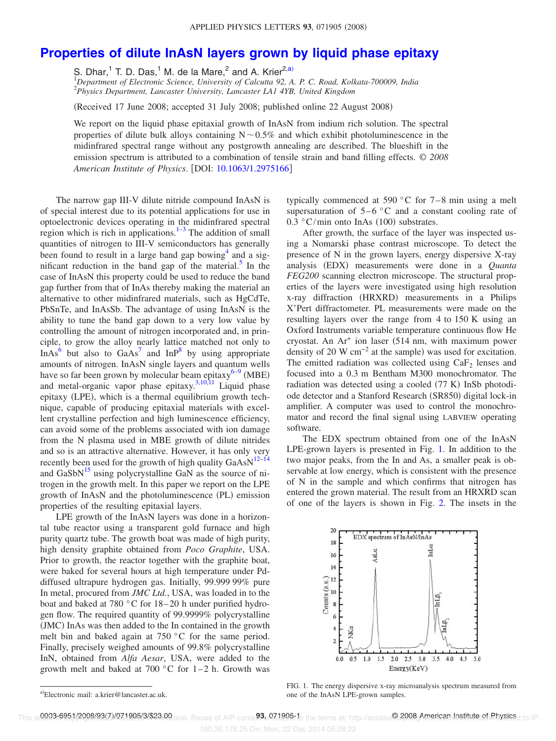## **Properties of dilute InAsN layers grown by liquid phase epitaxy**

S. Dhar,<sup>1</sup> T. D. Das,<sup>1</sup> M. de la Mare,<sup>2</sup> and A. Krier<sup>2,a)</sup>

<sup>1</sup>*Department of Electronic Science, University of Calcutta 92, A. P. C. Road, Kolkata-700009, India* 2 *Physics Department, Lancaster University, Lancaster LA1 4YB, United Kingdom*

Received 17 June 2008; accepted 31 July 2008; published online 22 August 2008-

We report on the liquid phase epitaxial growth of InAsN from indium rich solution. The spectral properties of dilute bulk alloys containing  $N \sim 0.5\%$  and which exhibit photoluminescence in the midinfrared spectral range without any postgrowth annealing are described. The blueshift in the emission spectrum is attributed to a combination of tensile strain and band filling effects. © *2008 American Institute of Physics*. DOI: 10.1063/1.2975166

The narrow gap III-V dilute nitride compound InAsN is of special interest due to its potential applications for use in optoelectronic devices operating in the midinfrared spectral region which is rich in applications.<sup>1-3</sup> The addition of small quantities of nitrogen to III-V semiconductors has generally been found to result in a large band gap bowing<sup>4</sup> and a significant reduction in the band gap of the material.<sup>5</sup> In the case of InAsN this property could be used to reduce the band gap further from that of InAs thereby making the material an alternative to other midinfrared materials, such as HgCdTe, PbSnTe, and InAsSb. The advantage of using InAsN is the ability to tune the band gap down to a very low value by controlling the amount of nitrogen incorporated and, in principle, to grow the alloy nearly lattice matched not only to InAs<sup>6</sup> but also to GaAs<sup>7</sup> and InP<sup>8</sup> by using appropriate amounts of nitrogen. InAsN single layers and quantum wells have so far been grown by molecular beam epitaxy $6-9$  (MBE) and metal-organic vapor phase epitaxy.<sup>3,10,11</sup> Liquid phase epitaxy (LPE), which is a thermal equilibrium growth technique, capable of producing epitaxial materials with excellent crystalline perfection and high luminescence efficiency, can avoid some of the problems associated with ion damage from the N plasma used in MBE growth of dilute nitrides and so is an attractive alternative. However, it has only very recently been used for the growth of high quality  $GaAsN^{12-14}$ and  $GaSbN<sup>15</sup>$  using polycrystalline GaN as the source of nitrogen in the growth melt. In this paper we report on the LPE growth of InAsN and the photoluminescence (PL) emission properties of the resulting epitaxial layers.

LPE growth of the InAsN layers was done in a horizontal tube reactor using a transparent gold furnace and high purity quartz tube. The growth boat was made of high purity, high density graphite obtained from *Poco Graphite*, USA. Prior to growth, the reactor together with the graphite boat, were baked for several hours at high temperature under Pddiffused ultrapure hydrogen gas. Initially, 99.999 99% pure In metal, procured from *JMC Ltd.*, USA, was loaded in to the boat and baked at 780 °C for 18–20 h under purified hydrogen flow. The required quantity of 99.9999% polycrystalline (JMC) InAs was then added to the In contained in the growth melt bin and baked again at 750 °C for the same period. Finally, precisely weighed amounts of 99.8% polycrystalline InN, obtained from *Alfa Aesar*, USA, were added to the growth melt and baked at 700  $^{\circ}$ C for 1-2 h. Growth was typically commenced at 590 °C for 7–8 min using a melt supersaturation of  $5-6$  °C and a constant cooling rate of  $0.\overline{3}$  °C/min onto InAs (100) substrates.

After growth, the surface of the layer was inspected using a Nomarski phase contrast microscope. To detect the presence of N in the grown layers, energy dispersive X-ray analysis (EDX) measurements were done in a *Quanta FEG200* scanning electron microscope. The structural properties of the layers were investigated using high resolution x-ray diffraction (HRXRD) measurements in a Philips X'Pert diffractometer. PL measurements were made on the resulting layers over the range from 4 to 150 K using an Oxford Instruments variable temperature continuous flow He cryostat. An Ar<sup>+</sup> ion laser (514 nm, with maximum power density of 20 W  $\text{cm}^{-2}$  at the sample) was used for excitation. The emitted radiation was collected using  $CaF<sub>2</sub>$  lenses and focused into a 0.3 m Bentham M300 monochromator. The radiation was detected using a cooled (77 K) InSb photodiode detector and a Stanford Research (SR850) digital lock-in amplifier. A computer was used to control the monochromator and record the final signal using LABVIEW operating software.

The EDX spectrum obtained from one of the InAsN LPE-grown layers is presented in Fig. 1. In addition to the two major peaks, from the In and As, a smaller peak is observable at low energy, which is consistent with the presence of N in the sample and which confirms that nitrogen has entered the grown material. The result from an HRXRD scan of one of the layers is shown in Fig. 2. The insets in the



FIG. 1. The energy dispersive x-ray microanalysis spectrum measured from one of the InAsN LPE-grown samples.

a)Electronic mail: a.krier@lancaster.ac.uk.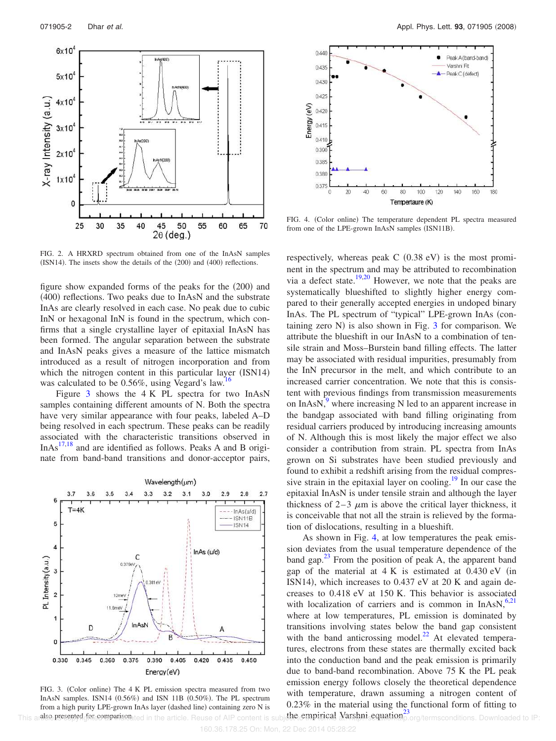

FIG. 2. A HRXRD spectrum obtained from one of the InAsN samples (ISN14). The insets show the details of the (200) and (400) reflections.

figure show expanded forms of the peaks for the (200) and (400) reflections. Two peaks due to InAsN and the substrate InAs are clearly resolved in each case. No peak due to cubic InN or hexagonal InN is found in the spectrum, which confirms that a single crystalline layer of epitaxial InAsN has been formed. The angular separation between the substrate and InAsN peaks gives a measure of the lattice mismatch introduced as a result of nitrogen incorporation and from which the nitrogen content in this particular layer (ISN14) was calculated to be 0.56%, using Vegard's law.<sup>10</sup>

Figure 3 shows the 4 K PL spectra for two InAsN samples containing different amounts of N. Both the spectra have very similar appearance with four peaks, labeled A–D being resolved in each spectrum. These peaks can be readily associated with the characteristic transitions observed in InAs $17,18$  and are identified as follows. Peaks A and B originate from band-band transitions and donor-acceptor pairs,



FIG. 3. (Color online) The 4 K PL emission spectra measured from two InAsN samples. ISN14  $(0.56\%)$  and ISN 11B  $(0.50\%)$ . The PL spectrum from a high purity LPE-grown InAs layer (dashed line) containing zero N is This article presented for comparison.ted in the article. Reuse of AIP content is subject empirical Varshnisequation... Org/termsconditions. Downloaded to IP:



FIG. 4. (Color online) The temperature dependent PL spectra measured from one of the LPE-grown InAsN samples (ISN11B).

respectively, whereas peak  $C(0.38$  eV) is the most prominent in the spectrum and may be attributed to recombination via a defect state.<sup>19,20</sup> However, we note that the peaks are systematically blueshifted to slightly higher energy compared to their generally accepted energies in undoped binary InAs. The PL spectrum of "typical" LPE-grown InAs (containing zero  $N$ ) is also shown in Fig.  $3$  for comparison. We attribute the blueshift in our InAsN to a combination of tensile strain and Moss–Burstein band filling effects. The latter may be associated with residual impurities, presumably from the InN precursor in the melt, and which contribute to an increased carrier concentration. We note that this is consistent with previous findings from transmission measurements on InAsN,<sup>9</sup> where increasing N led to an apparent increase in the bandgap associated with band filling originating from residual carriers produced by introducing increasing amounts of N. Although this is most likely the major effect we also consider a contribution from strain. PL spectra from InAs grown on Si substrates have been studied previously and found to exhibit a redshift arising from the residual compressive strain in the epitaxial layer on cooling. $19 \text{ In our case the}$ epitaxial InAsN is under tensile strain and although the layer thickness of 2–3  $\mu$ m is above the critical layer thickness, it is conceivable that not all the strain is relieved by the formation of dislocations, resulting in a blueshift.

As shown in Fig. 4, at low temperatures the peak emission deviates from the usual temperature dependence of the band gap.<sup>23</sup> From the position of peak A, the apparent band gap of the material at 4 K is estimated at 0.430 eV in ISN14), which increases to 0.437 eV at 20 K and again decreases to 0.418 eV at 150 K. This behavior is associated with localization of carriers and is common in InAsN, $6,21$ where at low temperatures, PL emission is dominated by transitions involving states below the band gap consistent with the band anticrossing model.<sup>22</sup> At elevated temperatures, electrons from these states are thermally excited back into the conduction band and the peak emission is primarily due to band-band recombination. Above 75 K the PL peak emission energy follows closely the theoretical dependence with temperature, drawn assuming a nitrogen content of 0.23% in the material using the functional form of fitting to the empirical Varshni equation<sup>23</sup> empropriations. Downloaded to IP: